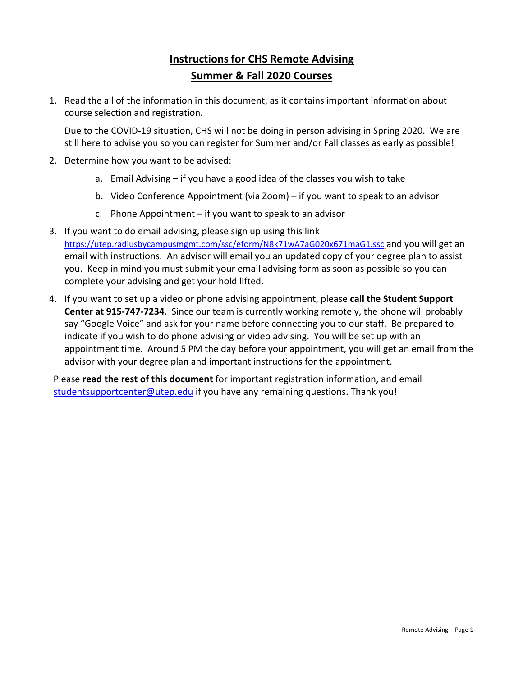## **Instructionsfor CHS Remote Advising Summer & Fall 2020 Courses**

1. Read the all of the information in this document, as it contains important information about course selection and registration.

Due to the COVID-19 situation, CHS will not be doing in person advising in Spring 2020. We are still here to advise you so you can register for Summer and/or Fall classes as early as possible!

- 2. Determine how you want to be advised:
	- a. Email Advising if you have a good idea of the classes you wish to take
	- b. Video Conference Appointment (via Zoom) if you want to speak to an advisor
	- c. Phone Appointment if you want to speak to an advisor
- 3. If you want to do email advising, please sign up using this link https://utep.radiusbycampusmgmt.com/ssc/eform/N8k71wA7aG020x671maG1.ssc and you will get an email with instructions. An advisor will email you an updated copy of your degree plan to assist you. Keep in mind you must submit your email advising form as soon as possible so you can complete your advising and get your hold lifted.
- 4. If you want to set up a video or phone advising appointment, please **call the Student Support Center at 915‐747‐7234**. Since our team is currently working remotely, the phone will probably say "Google Voice" and ask for your name before connecting you to our staff. Be prepared to indicate if you wish to do phone advising or video advising. You will be set up with an appointment time. Around 5 PM the day before your appointment, you will get an email from the advisor with your degree plan and important instructions for the appointment.

Please **read the rest of this document** for important registration information, and email studentsupportcenter@utep.edu if you have any remaining questions. Thank you!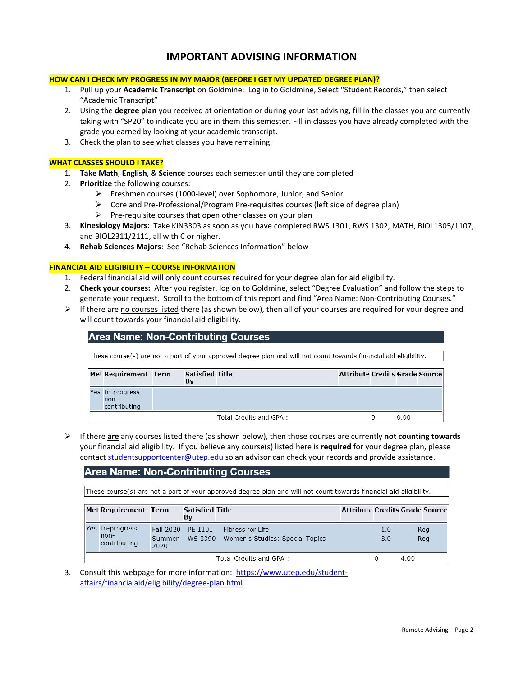### **IMPORTANT ADVISING INFORMATION**

#### **HOW CAN I CHECK MY PROGRESS IN MY MAJOR (BEFORE I GET MY UPDATED DEGREE PLAN)?**

- 1. Pull up your **Academic Transcript** on Goldmine: Log in to Goldmine, Select "Student Records," then select "Academic Transcript"
- 2. Using the **degree plan** you received at orientation or during your last advising, fill in the classes you are currently taking with "SP20" to indicate you are in them this semester. Fill in classes you have already completed with the grade you earned by looking at your academic transcript.
- 3. Check the plan to see what classes you have remaining.

#### **WHAT CLASSES SHOULD I TAKE?**

- 1. **Take Math**, **English**, & **Science** courses each semester until they are completed
- 2. **Prioritize** the following courses:
	- Freshmen courses (1000‐level) over Sophomore, Junior, and Senior
	- Core and Pre‐Professional/Program Pre‐requisites courses (left side of degree plan)
	- $\triangleright$  Pre-requisite courses that open other classes on your plan
- 3. **Kinesiology Majors**: Take KIN3303 as soon as you have completed RWS 1301, RWS 1302, MATH, BIOL1305/1107, and BIOL2311/2111, all with C or higher.
- 4. **Rehab Sciences Majors**: See "Rehab Sciences Information" below

#### **FINANCIAL AID ELIGIBILITY – COURSE INFORMATION**

- 1. Federal financial aid will only count courses required for your degree plan for aid eligibility.
- 2. **Check your courses:** After you register, log on to Goldmine, select "Degree Evaluation" and follow the steps to generate your request. Scroll to the bottom of this report and find "Area Name: Non‐Contributing Courses."
- Fig. 16 If there are no courses listed there (as shown below), then all of your courses are required for your degree and will count towards your financial aid eligibility.

#### **Area Name: Non-Contributing Courses**

These course(s) are not a part of your approved degree plan and will not count towards financial aid eligibility.

| Met Requirement Term                    | <b>Satisfied Title</b><br>By |                        | <b>Attribute Credits Grade Source</b> |      |  |
|-----------------------------------------|------------------------------|------------------------|---------------------------------------|------|--|
| Yes In-progress<br>non-<br>contributing |                              |                        |                                       |      |  |
|                                         |                              | Total Credits and GPA: |                                       | 0.00 |  |

 If there **are** any courses listed there (as shown below), then those courses are currently **not counting towards** your financial aid eligibility. If you believe any course(s) listed here is **required** for your degree plan, please contact studentsupportcenter@utep.edu so an advisor can check your records and provide assistance.

#### **Area Name: Non-Contributing Courses**

These course(s) are not a part of your approved degree plan and will not count towards financial aid eligibility.

|                        | Met Requirement Term                    |                | <b>Satisfied Title</b><br>By |                                                             |  |            | <b>Attribute Credits Grade Source</b> |
|------------------------|-----------------------------------------|----------------|------------------------------|-------------------------------------------------------------|--|------------|---------------------------------------|
|                        | Yes In-progress<br>non-<br>contributing | Summer<br>2020 | Fall 2020 PE 1101            | Fitness for Life<br>WS 3390 Women's Studies: Special Topics |  | 1.0<br>3.0 | Reg<br>Rea                            |
| Total Credits and GPA: |                                         |                |                              |                                                             |  |            | 4.00                                  |

3. Consult this webpage for more information: https://www.utep.edu/studentaffairs/financialaid/eligibility/degree‐plan.html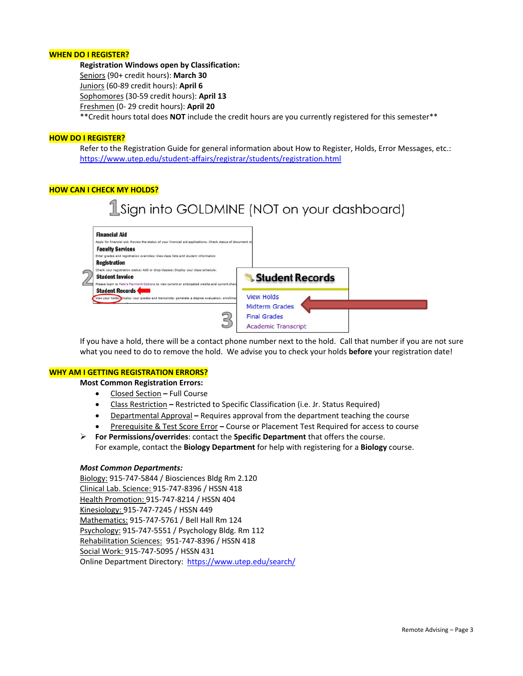#### **WHEN DO I REGISTER?**

**Registration Windows open by Classification:** Seniors (90+ credit hours): **March 30** Juniors (60‐89 credit hours): **April 6** Sophomores (30‐59 credit hours): **April 13** Freshmen (0‐ 29 credit hours): **April 20** \*\*Credit hours total does **NOT** include the credit hours are you currently registered for this semester\*\*

#### **HOW DO I REGISTER?**

Refer to the Registration Guide for general information about How to Register, Holds, Error Messages, etc.: https://www.utep.edu/student‐affairs/registrar/students/registration.html

#### **HOW CAN I CHECK MY HOLDS?**

# 1Sign into GOLDMINE (NOT on your dashboard)



If you have a hold, there will be a contact phone number next to the hold. Call that number if you are not sure what you need to do to remove the hold. We advise you to check your holds **before** your registration date!

#### **WHY AM I GETTING REGISTRATION ERRORS?**

**Most Common Registration Errors:**

- Closed Section **–** Full Course
- Class Restriction **–** Restricted to Specific Classification (i.e. Jr. Status Required)
- Departmental Approval **–** Requires approval from the department teaching the course
- Prerequisite & Test Score Error **–** Course or Placement Test Required for access to course
- **For Permissions/overrides**: contact the **Specific Department** that offers the course. For example, contact the **Biology Department** for help with registering for a **Biology** course.

#### *Most Common Departments:*

Biology: 915‐747‐5844 / Biosciences Bldg Rm 2.120 Clinical Lab. Science: 915‐747‐8396 / HSSN 418 Health Promotion: 915‐747‐8214 / HSSN 404 Kinesiology: 915‐747‐7245 / HSSN 449 Mathematics: 915‐747‐5761 / Bell Hall Rm 124 Psychology: 915‐747‐5551 / Psychology Bldg. Rm 112 Rehabilitation Sciences: 951‐747‐8396 / HSSN 418 Social Work: 915‐747‐5095 / HSSN 431 Online Department Directory: https://www.utep.edu/search/